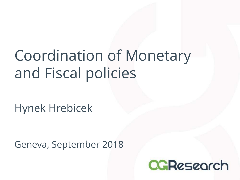# Coordination of Monetary and Fiscal policies

Hynek Hrebicek

Geneva, September 2018

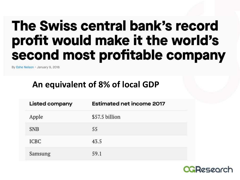#### The Swiss central bank's record profit would make it the world's second most profitable company

By Eshe Nelson · January 9, 2018

#### **An equivalent of 8% of local GDP**

| Listed company | <b>Estimated net income 2017</b> |
|----------------|----------------------------------|
| Apple          | \$57.5 billion                   |
| <b>SNB</b>     | 55                               |
| <b>ICBC</b>    | 43.5                             |
| Samsung        | 59.1                             |

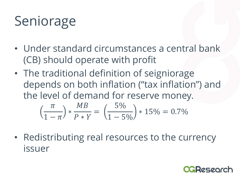## Seniorage

- Under standard circumstances a central bank (CB) should operate with profit
- The traditional definition of seigniorage depends on both inflation ("tax inflation") and the level of demand for reserve money.

$$
\left(\frac{\pi}{1-\pi}\right) * \frac{MB}{P*Y} = \left(\frac{5\%}{1-5\%}\right) * 15\% = 0.7\%
$$

• Redistributing real resources to the currency issuer

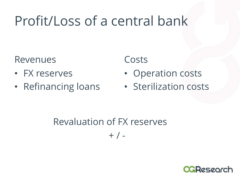### Profit/Loss of a central bank

Revenues

- FX reserves
- Refinancing loans

Costs

- Operation costs
- Sterilization costs

Revaluation of FX reserves  $+$  /  $-$ 

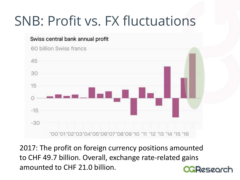#### SNB: Profit vs. FX fluctuations



2017: The profit on foreign currency positions amounted to CHF 49.7 billion. Overall, exchange rate-related gains amounted to CHF 21.0 billion. **CGReseorch**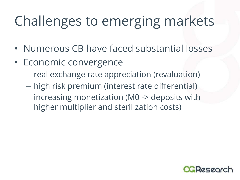## Challenges to emerging markets

- Numerous CB have faced substantial losses
- Economic convergence
	- real exchange rate appreciation (revaluation)
	- high risk premium (interest rate differential)
	- increasing monetization (M0 -> deposits with higher multiplier and sterilization costs)

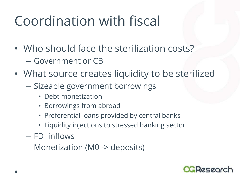### Coordination with fiscal

- Who should face the sterilization costs? – Government or CB
- What source creates liquidity to be sterilized
	- Sizeable government borrowings
		- Debt monetization
		- Borrowings from abroad
		- Preferential loans provided by central banks
		- Liquidity injections to stressed banking sector
	- FDI inflows
	- Monetization (M0 -> deposits)

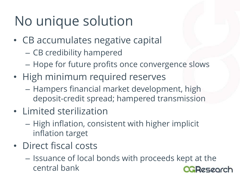## No unique solution

- CB accumulates negative capital
	- CB credibility hampered
	- Hope for future profits once convergence slows
- High minimum required reserves
	- Hampers financial market development, high deposit-credit spread; hampered transmission
- Limited sterilization
	- High inflation, consistent with higher implicit inflation target
- Direct fiscal costs
	- Issuance of local bonds with proceeds kept at the central bank**agResearch**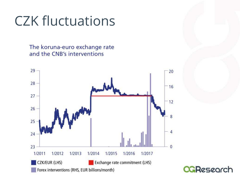### CZK fluctuations

The koruna-euro exchange rate and the CNB's interventions

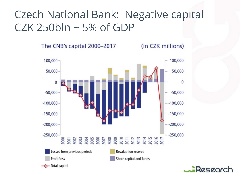#### Czech National Bank: Negative capital CZK 250bln ~ 5% of GDP

The CNB's capital 2000-2017

(in CZK millions)



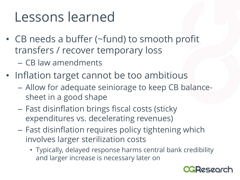#### Lessons learned

- CB needs a buffer (~fund) to smooth profit transfers / recover temporary loss
	- CB law amendments
- Inflation target cannot be too ambitious
	- Allow for adequate seiniorage to keep CB balancesheet in a good shape
	- Fast disinflation brings fiscal costs (sticky expenditures vs. decelerating revenues)
	- Fast disinflation requires policy tightening which involves larger sterilization costs
		- Typically, delayed response harms central bank credibility and larger increase is necessary later on

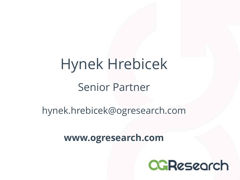# Hynek Hrebicek Senior Partner

#### hynek.hrebicek@ogresearch.com

#### **www.ogresearch.com**